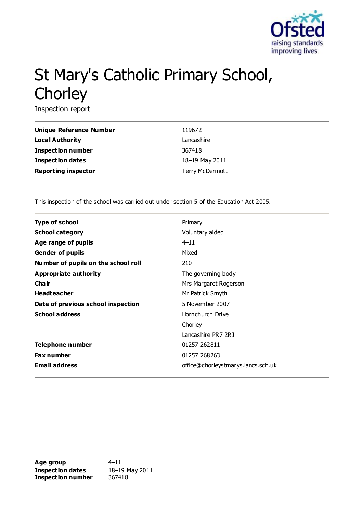

# St Mary's Catholic Primary School, **Chorley**

Inspection report

| Unique Reference Number    | 119672                 |
|----------------------------|------------------------|
| <b>Local Authority</b>     | Lancashire             |
| <b>Inspection number</b>   | 367418                 |
| Inspection dates           | 18-19 May 2011         |
| <b>Reporting inspector</b> | <b>Terry McDermott</b> |

This inspection of the school was carried out under section 5 of the Education Act 2005.

| <b>Type of school</b>               | Primary                            |
|-------------------------------------|------------------------------------|
| <b>School category</b>              | Voluntary aided                    |
| Age range of pupils                 | $4 - 11$                           |
| <b>Gender of pupils</b>             | Mixed                              |
| Number of pupils on the school roll | 210                                |
| Appropriate authority               | The governing body                 |
| Cha ir                              | Mrs Margaret Rogerson              |
| <b>Headteacher</b>                  | Mr Patrick Smyth                   |
| Date of previous school inspection  | 5 November 2007                    |
| <b>School address</b>               | Hornchurch Drive                   |
|                                     | Chorley                            |
|                                     | Lancashire PR7 2RJ                 |
| Telephone number                    | 01257 262811                       |
| <b>Fax number</b>                   | 01257 268263                       |
| <b>Email address</b>                | office@chorleystmarys.lancs.sch.uk |

**Age group** 4–11<br> **Inspection dates**  $\frac{18-19 \text{ May } 2011}{18-19 \text{ May } 2011}$ **Inspection dates Inspection number** 367418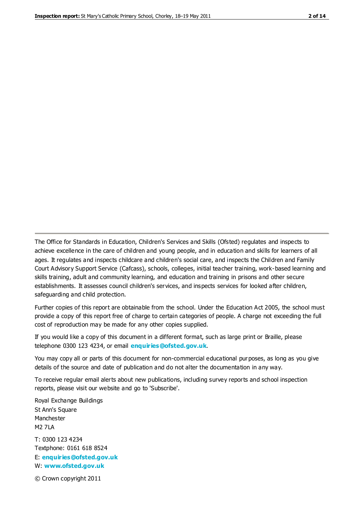The Office for Standards in Education, Children's Services and Skills (Ofsted) regulates and inspects to achieve excellence in the care of children and young people, and in education and skills for learners of all ages. It regulates and inspects childcare and children's social care, and inspects the Children and Family Court Advisory Support Service (Cafcass), schools, colleges, initial teacher training, work-based learning and skills training, adult and community learning, and education and training in prisons and other secure establishments. It assesses council children's services, and inspects services for looked after children, safeguarding and child protection.

Further copies of this report are obtainable from the school. Under the Education Act 2005, the school must provide a copy of this report free of charge to certain categories of people. A charge not exceeding the full cost of reproduction may be made for any other copies supplied.

If you would like a copy of this document in a different format, such as large print or Braille, please telephone 0300 123 4234, or email **[enquiries@ofsted.gov.uk](mailto:enquiries@ofsted.gov.uk)**.

You may copy all or parts of this document for non-commercial educational purposes, as long as you give details of the source and date of publication and do not alter the documentation in any way.

To receive regular email alerts about new publications, including survey reports and school inspection reports, please visit our website and go to 'Subscribe'.

Royal Exchange Buildings St Ann's Square Manchester M2 7LA T: 0300 123 4234 Textphone: 0161 618 8524 E: **[enquiries@ofsted.gov.uk](mailto:enquiries@ofsted.gov.uk)**

W: **[www.ofsted.gov.uk](http://www.ofsted.gov.uk/)**

© Crown copyright 2011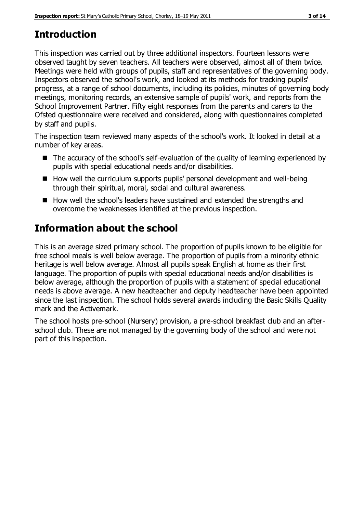# **Introduction**

This inspection was carried out by three additional inspectors. Fourteen lessons were observed taught by seven teachers. All teachers were observed, almost all of them twice. Meetings were held with groups of pupils, staff and representatives of the governing body. Inspectors observed the school's work, and looked at its methods for tracking pupils' progress, at a range of school documents, including its policies, minutes of governing body meetings, monitoring records, an extensive sample of pupils' work, and reports from the School Improvement Partner. Fifty eight responses from the parents and carers to the Ofsted questionnaire were received and considered, along with questionnaires completed by staff and pupils.

The inspection team reviewed many aspects of the school's work. It looked in detail at a number of key areas.

- The accuracy of the school's self-evaluation of the quality of learning experienced by pupils with special educational needs and/or disabilities.
- How well the curriculum supports pupils' personal development and well-being through their spiritual, moral, social and cultural awareness.
- How well the school's leaders have sustained and extended the strengths and overcome the weaknesses identified at the previous inspection.

# **Information about the school**

This is an average sized primary school. The proportion of pupils known to be eligible for free school meals is well below average. The proportion of pupils from a minority ethnic heritage is well below average. Almost all pupils speak English at home as their first language. The proportion of pupils with special educational needs and/or disabilities is below average, although the proportion of pupils with a statement of special educational needs is above average. A new headteacher and deputy headteacher have been appointed since the last inspection. The school holds several awards including the Basic Skills Quality mark and the Activemark.

The school hosts pre-school (Nursery) provision, a pre-school breakfast club and an afterschool club. These are not managed by the governing body of the school and were not part of this inspection.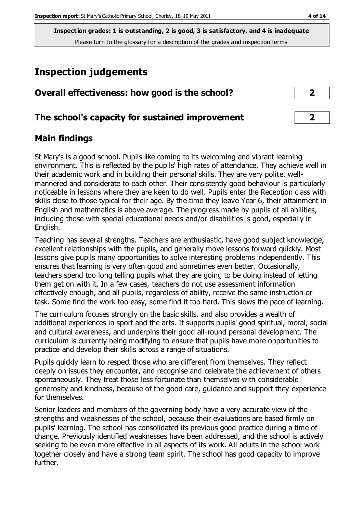**Inspection grades: 1 is outstanding, 2 is good, 3 is satisfactory, and 4 is inadequate** Please turn to the glossary for a description of the grades and inspection terms

# **Inspection judgements**

| Overall effectiveness: how good is the school?  |  |
|-------------------------------------------------|--|
| The school's capacity for sustained improvement |  |

## **Main findings**

St Mary's is a good school. Pupils like coming to its welcoming and vibrant learning environment. This is reflected by the pupils' high rates of attendance. They achieve well in their academic work and in building their personal skills. They are very polite, wellmannered and considerate to each other. Their consistently good behaviour is particularly noticeable in lessons where they are keen to do well. Pupils enter the Reception class with skills close to those typical for their age. By the time they leave Year 6, their attainment in English and mathematics is above average. The progress made by pupils of all abilities, including those with special educational needs and/or disabilities is good, especially in English.

Teaching has several strengths. Teachers are enthusiastic, have good subject knowledge, excellent relationships with the pupils, and generally move lessons forward quickly. Most lessons give pupils many opportunities to solve interesting problems independently. This ensures that learning is very often good and sometimes even better. Occasionally, teachers spend too long telling pupils what they are going to be doing instead of letting them get on with it. In a few cases, teachers do not use assessment information effectively enough, and all pupils, regardless of ability, receive the same instruction or task. Some find the work too easy, some find it too hard. This slows the pace of learning.

The curriculum focuses strongly on the basic skills, and also provides a wealth of additional experiences in sport and the arts. It supports pupils' good spiritual, moral, social and cultural awareness, and underpins their good all-round personal development. The curriculum is currently being modifying to ensure that pupils have more opportunities to practice and develop their skills across a range of situations.

Pupils quickly learn to respect those who are different from themselves. They reflect deeply on issues they encounter, and recognise and celebrate the achievement of others spontaneously. They treat those less fortunate than themselves with considerable generosity and kindness, because of the good care, guidance and support they experience for themselves.

Senior leaders and members of the governing body have a very accurate view of the strengths and weaknesses of the school, because their evaluations are based firmly on pupils' learning. The school has consolidated its previous good practice during a time of change. Previously identified weaknesses have been addressed, and the school is actively seeking to be even more effective in all aspects of its work. All adults in the school work together closely and have a strong team spirit. The school has good capacity to improve further.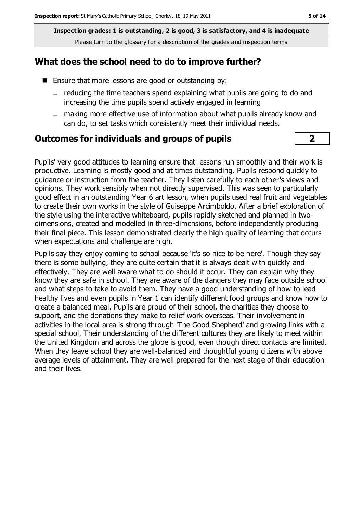**Inspection grades: 1 is outstanding, 2 is good, 3 is satisfactory, and 4 is inadequate** Please turn to the glossary for a description of the grades and inspection terms

## **What does the school need to do to improve further?**

- Ensure that more lessons are good or outstanding by:
	- reducing the time teachers spend explaining what pupils are going to do and increasing the time pupils spend actively engaged in learning
	- making more effective use of information about what pupils already know and can do, to set tasks which consistently meet their individual needs.

#### **Outcomes for individuals and groups of pupils 2**

Pupils' very good attitudes to learning ensure that lessons run smoothly and their work is productive. Learning is mostly good and at times outstanding. Pupils respond quickly to guidance or instruction from the teacher. They listen carefully to each other's views and opinions. They work sensibly when not directly supervised. This was seen to particularly good effect in an outstanding Year 6 art lesson, when pupils used real fruit and vegetables to create their own works in the style of Guiseppe Arcimboldo. After a brief exploration of the style using the interactive whiteboard, pupils rapidly sketched and planned in twodimensions, created and modelled in three-dimensions, before independently producing their final piece. This lesson demonstrated clearly the high quality of learning that occurs when expectations and challenge are high.

Pupils say they enjoy coming to school because 'it's so nice to be here'. Though they say there is some bullying, they are quite certain that it is always dealt with quickly and effectively. They are well aware what to do should it occur. They can explain why they know they are safe in school. They are aware of the dangers they may face outside school and what steps to take to avoid them. They have a good understanding of how to lead healthy lives and even pupils in Year 1 can identify different food groups and know how to create a balanced meal. Pupils are proud of their school, the charities they choose to support, and the donations they make to relief work overseas. Their involvement in activities in the local area is strong through 'The Good Shepherd' and growing links with a special school. Their understanding of the different cultures they are likely to meet within the United Kingdom and across the globe is good, even though direct contacts are limited. When they leave school they are well-balanced and thoughtful young citizens with above average levels of attainment. They are well prepared for the next stage of their education and their lives.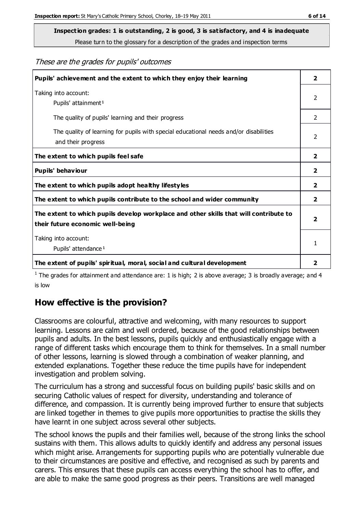**Inspection grades: 1 is outstanding, 2 is good, 3 is satisfactory, and 4 is inadequate**

Please turn to the glossary for a description of the grades and inspection terms

These are the grades for pupils' outcomes

| Pupils' achievement and the extent to which they enjoy their learning                                                     |                |
|---------------------------------------------------------------------------------------------------------------------------|----------------|
| Taking into account:<br>Pupils' attainment <sup>1</sup>                                                                   |                |
| The quality of pupils' learning and their progress                                                                        | $\mathcal{P}$  |
| The quality of learning for pupils with special educational needs and/or disabilities<br>and their progress               | $\mathcal{P}$  |
| The extent to which pupils feel safe                                                                                      | 2              |
| Pupils' behaviour                                                                                                         | $\overline{2}$ |
| The extent to which pupils adopt healthy lifestyles                                                                       |                |
| The extent to which pupils contribute to the school and wider community                                                   |                |
| The extent to which pupils develop workplace and other skills that will contribute to<br>their future economic well-being |                |
| Taking into account:                                                                                                      | 1              |
| Pupils' attendance <sup>1</sup>                                                                                           |                |
| The extent of pupils' spiritual, moral, social and cultural development                                                   | 2              |

<sup>1</sup> The grades for attainment and attendance are: 1 is high; 2 is above average; 3 is broadly average; and 4 is low

## **How effective is the provision?**

Classrooms are colourful, attractive and welcoming, with many resources to support learning. Lessons are calm and well ordered, because of the good relationships between pupils and adults. In the best lessons, pupils quickly and enthusiastically engage with a range of different tasks which encourage them to think for themselves. In a small number of other lessons, learning is slowed through a combination of weaker planning, and extended explanations. Together these reduce the time pupils have for independent investigation and problem solving.

The curriculum has a strong and successful focus on building pupils' basic skills and on securing Catholic values of respect for diversity, understanding and tolerance of difference, and compassion. It is currently being improved further to ensure that subjects are linked together in themes to give pupils more opportunities to practise the skills they have learnt in one subject across several other subjects.

The school knows the pupils and their families well, because of the strong links the school sustains with them. This allows adults to quickly identify and address any personal issues which might arise. Arrangements for supporting pupils who are potentially vulnerable due to their circumstances are positive and effective, and recognised as such by parents and carers. This ensures that these pupils can access everything the school has to offer, and are able to make the same good progress as their peers. Transitions are well managed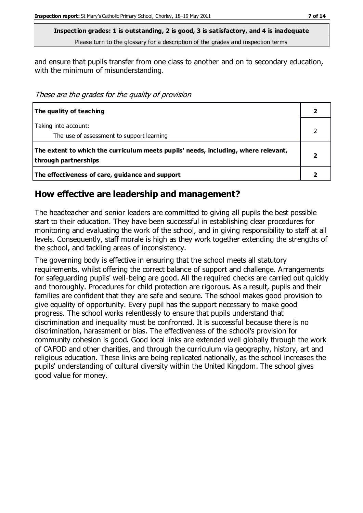**Inspection grades: 1 is outstanding, 2 is good, 3 is satisfactory, and 4 is inadequate** Please turn to the glossary for a description of the grades and inspection terms

and ensure that pupils transfer from one class to another and on to secondary education, with the minimum of misunderstanding.

These are the grades for the quality of provision

| The quality of teaching                                                                                    |  |
|------------------------------------------------------------------------------------------------------------|--|
| Taking into account:<br>The use of assessment to support learning                                          |  |
| The extent to which the curriculum meets pupils' needs, including, where relevant,<br>through partnerships |  |
| The effectiveness of care, guidance and support                                                            |  |

#### **How effective are leadership and management?**

The headteacher and senior leaders are committed to giving all pupils the best possible start to their education. They have been successful in establishing clear procedures for monitoring and evaluating the work of the school, and in giving responsibility to staff at all levels. Consequently, staff morale is high as they work together extending the strengths of the school, and tackling areas of inconsistency.

The governing body is effective in ensuring that the school meets all statutory requirements, whilst offering the correct balance of support and challenge. Arrangements for safeguarding pupils' well-being are good. All the required checks are carried out quickly and thoroughly. Procedures for child protection are rigorous. As a result, pupils and their families are confident that they are safe and secure. The school makes good provision to give equality of opportunity. Every pupil has the support necessary to make good progress. The school works relentlessly to ensure that pupils understand that discrimination and inequality must be confronted. It is successful because there is no discrimination, harassment or bias. The effectiveness of the school's provision for community cohesion is good. Good local links are extended well globally through the work of CAFOD and other charities, and through the curriculum via geography, history, art and religious education. These links are being replicated nationally, as the school increases the pupils' understanding of cultural diversity within the United Kingdom. The school gives good value for money.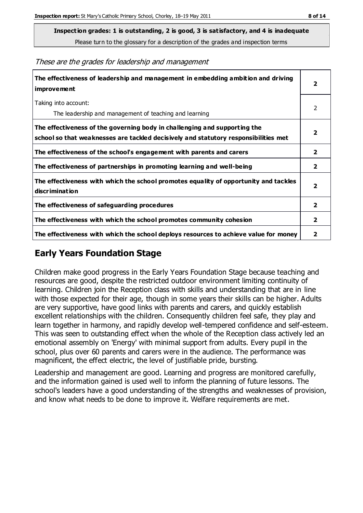**Inspection grades: 1 is outstanding, 2 is good, 3 is satisfactory, and 4 is inadequate**

Please turn to the glossary for a description of the grades and inspection terms

**The effectiveness of leadership and management in embedding ambition and driving improvement 2** Taking into account: The leadership and management of teaching and learning 2 **The effectiveness of the governing body in challenging and supporting the school so that weaknesses are tackled decisively and statutory responsibilities met 2 The effectiveness of the school's engagement with parents and carers 2 The effectiveness of partnerships in promoting learning and well-being 2 The effectiveness with which the school promotes equality of opportunity and tackles discrimination 2 The effectiveness of safeguarding procedures 2 The effectiveness with which the school promotes community cohesion 2 The effectiveness with which the school deploys resources to achieve value for money 2**

#### These are the grades for leadership and management

### **Early Years Foundation Stage**

Children make good progress in the Early Years Foundation Stage because teaching and resources are good, despite the restricted outdoor environment limiting continuity of learning. Children join the Reception class with skills and understanding that are in line with those expected for their age, though in some years their skills can be higher. Adults are very supportive, have good links with parents and carers, and quickly establish excellent relationships with the children. Consequently children feel safe, they play and learn together in harmony, and rapidly develop well-tempered confidence and self-esteem. This was seen to outstanding effect when the whole of the Reception class actively led an emotional assembly on 'Energy' with minimal support from adults. Every pupil in the school, plus over 60 parents and carers were in the audience. The performance was magnificent, the effect electric, the level of justifiable pride, bursting.

Leadership and management are good. Learning and progress are monitored carefully, and the information gained is used well to inform the planning of future lessons. The school's leaders have a good understanding of the strengths and weaknesses of provision, and know what needs to be done to improve it. Welfare requirements are met.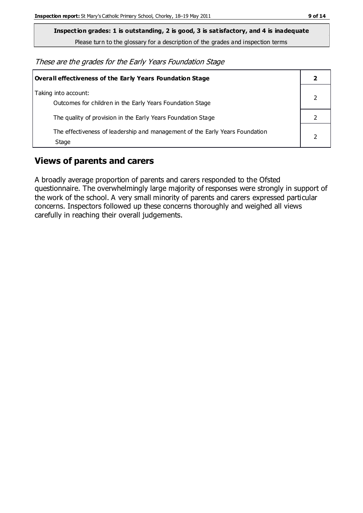**Inspection grades: 1 is outstanding, 2 is good, 3 is satisfactory, and 4 is inadequate**

Please turn to the glossary for a description of the grades and inspection terms

These are the grades for the Early Years Foundation Stage

| Overall effectiveness of the Early Years Foundation Stage                             |  |
|---------------------------------------------------------------------------------------|--|
| Taking into account:<br>Outcomes for children in the Early Years Foundation Stage     |  |
| The quality of provision in the Early Years Foundation Stage                          |  |
| The effectiveness of leadership and management of the Early Years Foundation<br>Stage |  |

## **Views of parents and carers**

A broadly average proportion of parents and carers responded to the Ofsted questionnaire. The overwhelmingly large majority of responses were strongly in support of the work of the school. A very small minority of parents and carers expressed particular concerns. Inspectors followed up these concerns thoroughly and weighed all views carefully in reaching their overall judgements.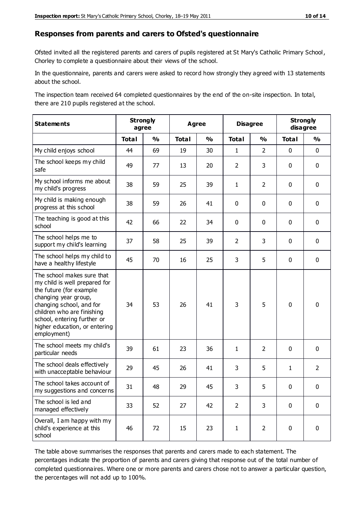#### **Responses from parents and carers to Ofsted's questionnaire**

Ofsted invited all the registered parents and carers of pupils registered at St Mary's Catholic Primary School, Chorley to complete a questionnaire about their views of the school.

In the questionnaire, parents and carers were asked to record how strongly they agreed with 13 statements about the school.

The inspection team received 64 completed questionnaires by the end of the on-site inspection. In total, there are 210 pupils registered at the school.

| <b>Statements</b>                                                                                                                                                                                                                                       | <b>Strongly</b><br>agree |               | <b>Agree</b> |               | <b>Disagree</b> |                | <b>Strongly</b><br>disagree |                |
|---------------------------------------------------------------------------------------------------------------------------------------------------------------------------------------------------------------------------------------------------------|--------------------------|---------------|--------------|---------------|-----------------|----------------|-----------------------------|----------------|
|                                                                                                                                                                                                                                                         | <b>Total</b>             | $\frac{1}{2}$ | <b>Total</b> | $\frac{1}{2}$ | <b>Total</b>    | $\frac{1}{2}$  | <b>Total</b>                | $\frac{1}{2}$  |
| My child enjoys school                                                                                                                                                                                                                                  | 44                       | 69            | 19           | 30            | $\mathbf{1}$    | $\overline{2}$ | $\mathbf 0$                 | $\mathbf 0$    |
| The school keeps my child<br>safe                                                                                                                                                                                                                       | 49                       | 77            | 13           | 20            | $\overline{2}$  | 3              | $\mathbf 0$                 | $\mathbf 0$    |
| My school informs me about<br>my child's progress                                                                                                                                                                                                       | 38                       | 59            | 25           | 39            | $\mathbf{1}$    | $\overline{2}$ | $\mathbf 0$                 | $\mathbf 0$    |
| My child is making enough<br>progress at this school                                                                                                                                                                                                    | 38                       | 59            | 26           | 41            | 0               | $\mathbf 0$    | $\mathbf 0$                 | $\mathbf 0$    |
| The teaching is good at this<br>school                                                                                                                                                                                                                  | 42                       | 66            | 22           | 34            | 0               | $\mathbf 0$    | $\mathbf 0$                 | $\mathbf 0$    |
| The school helps me to<br>support my child's learning                                                                                                                                                                                                   | 37                       | 58            | 25           | 39            | $\overline{2}$  | 3              | $\mathbf 0$                 | $\mathbf 0$    |
| The school helps my child to<br>have a healthy lifestyle                                                                                                                                                                                                | 45                       | 70            | 16           | 25            | 3               | 5              | $\mathbf 0$                 | $\mathbf 0$    |
| The school makes sure that<br>my child is well prepared for<br>the future (for example<br>changing year group,<br>changing school, and for<br>children who are finishing<br>school, entering further or<br>higher education, or entering<br>employment) | 34                       | 53            | 26           | 41            | 3               | 5              | $\mathbf 0$                 | $\mathbf 0$    |
| The school meets my child's<br>particular needs                                                                                                                                                                                                         | 39                       | 61            | 23           | 36            | $\mathbf{1}$    | $\overline{2}$ | $\mathbf 0$                 | $\mathbf 0$    |
| The school deals effectively<br>with unacceptable behaviour                                                                                                                                                                                             | 29                       | 45            | 26           | 41            | 3               | 5              | $\mathbf{1}$                | $\overline{2}$ |
| The school takes account of<br>my suggestions and concerns                                                                                                                                                                                              | 31                       | 48            | 29           | 45            | 3               | 5              | $\Omega$                    | 0              |
| The school is led and<br>managed effectively                                                                                                                                                                                                            | 33                       | 52            | 27           | 42            | $\overline{2}$  | 3              | $\mathbf 0$                 | $\mathbf 0$    |
| Overall, I am happy with my<br>child's experience at this<br>school                                                                                                                                                                                     | 46                       | 72            | 15           | 23            | $\mathbf{1}$    | $\overline{2}$ | $\mathbf 0$                 | $\pmb{0}$      |

The table above summarises the responses that parents and carers made to each statement. The percentages indicate the proportion of parents and carers giving that response out of the total number of completed questionnaires. Where one or more parents and carers chose not to answer a particular question, the percentages will not add up to 100%.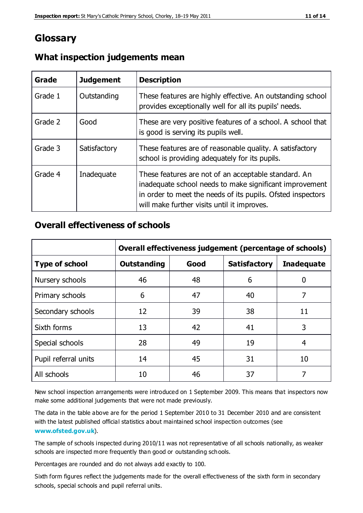## **Glossary**

| Grade   | <b>Judgement</b> | <b>Description</b>                                                                                                                                                                                                            |
|---------|------------------|-------------------------------------------------------------------------------------------------------------------------------------------------------------------------------------------------------------------------------|
| Grade 1 | Outstanding      | These features are highly effective. An outstanding school<br>provides exceptionally well for all its pupils' needs.                                                                                                          |
| Grade 2 | Good             | These are very positive features of a school. A school that<br>is good is serving its pupils well.                                                                                                                            |
| Grade 3 | Satisfactory     | These features are of reasonable quality. A satisfactory<br>school is providing adequately for its pupils.                                                                                                                    |
| Grade 4 | Inadequate       | These features are not of an acceptable standard. An<br>inadequate school needs to make significant improvement<br>in order to meet the needs of its pupils. Ofsted inspectors<br>will make further visits until it improves. |

#### **What inspection judgements mean**

#### **Overall effectiveness of schools**

|                       | Overall effectiveness judgement (percentage of schools) |      |                     |                   |
|-----------------------|---------------------------------------------------------|------|---------------------|-------------------|
| <b>Type of school</b> | <b>Outstanding</b>                                      | Good | <b>Satisfactory</b> | <b>Inadequate</b> |
| Nursery schools       | 46                                                      | 48   | 6                   |                   |
| Primary schools       | 6                                                       | 47   | 40                  | 7                 |
| Secondary schools     | 12                                                      | 39   | 38                  | 11                |
| Sixth forms           | 13                                                      | 42   | 41                  | 3                 |
| Special schools       | 28                                                      | 49   | 19                  | 4                 |
| Pupil referral units  | 14                                                      | 45   | 31                  | 10                |
| All schools           | 10                                                      | 46   | 37                  |                   |

New school inspection arrangements were introduced on 1 September 2009. This means that inspectors now make some additional judgements that were not made previously.

The data in the table above are for the period 1 September 2010 to 31 December 2010 and are consistent with the latest published official statistics about maintained school inspection outcomes (see **[www.ofsted.gov.uk](http://www.ofsted.gov.uk/)**).

The sample of schools inspected during 2010/11 was not representative of all schools nationally, as weaker schools are inspected more frequently than good or outstanding schools.

Percentages are rounded and do not always add exactly to 100.

Sixth form figures reflect the judgements made for the overall effectiveness of the sixth form in secondary schools, special schools and pupil referral units.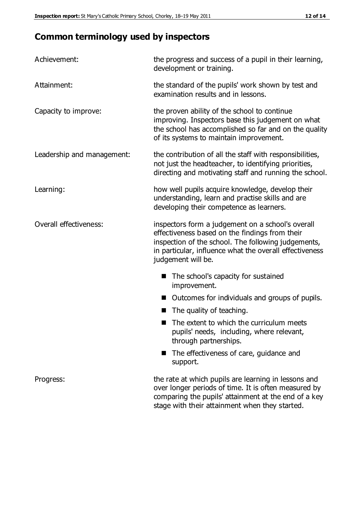# **Common terminology used by inspectors**

| Achievement:               | the progress and success of a pupil in their learning,<br>development or training.                                                                                                                                                          |  |  |
|----------------------------|---------------------------------------------------------------------------------------------------------------------------------------------------------------------------------------------------------------------------------------------|--|--|
| Attainment:                | the standard of the pupils' work shown by test and<br>examination results and in lessons.                                                                                                                                                   |  |  |
| Capacity to improve:       | the proven ability of the school to continue<br>improving. Inspectors base this judgement on what<br>the school has accomplished so far and on the quality<br>of its systems to maintain improvement.                                       |  |  |
| Leadership and management: | the contribution of all the staff with responsibilities,<br>not just the headteacher, to identifying priorities,<br>directing and motivating staff and running the school.                                                                  |  |  |
| Learning:                  | how well pupils acquire knowledge, develop their<br>understanding, learn and practise skills and are<br>developing their competence as learners.                                                                                            |  |  |
| Overall effectiveness:     | inspectors form a judgement on a school's overall<br>effectiveness based on the findings from their<br>inspection of the school. The following judgements,<br>in particular, influence what the overall effectiveness<br>judgement will be. |  |  |
|                            | The school's capacity for sustained<br>improvement.                                                                                                                                                                                         |  |  |
|                            | Outcomes for individuals and groups of pupils.                                                                                                                                                                                              |  |  |
|                            | The quality of teaching.                                                                                                                                                                                                                    |  |  |
|                            | The extent to which the curriculum meets<br>pupils' needs, including, where relevant,<br>through partnerships.                                                                                                                              |  |  |
|                            | The effectiveness of care, guidance and<br>support.                                                                                                                                                                                         |  |  |
| Progress:                  | the rate at which pupils are learning in lessons and<br>over longer periods of time. It is often measured by<br>comparing the pupils' attainment at the end of a key                                                                        |  |  |

stage with their attainment when they started.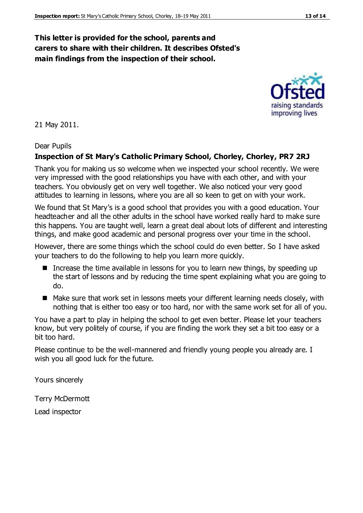#### **This letter is provided for the school, parents and carers to share with their children. It describes Ofsted's main findings from the inspection of their school.**

21 May 2011.

#### Dear Pupils

#### **Inspection of St Mary's Catholic Primary School, Chorley, Chorley, PR7 2RJ**

Thank you for making us so welcome when we inspected your school recently. We were very impressed with the good relationships you have with each other, and with your teachers. You obviously get on very well together. We also noticed your very good attitudes to learning in lessons, where you are all so keen to get on with your work.

We found that St Mary's is a good school that provides you with a good education. Your headteacher and all the other adults in the school have worked really hard to make sure this happens. You are taught well, learn a great deal about lots of different and interesting things, and make good academic and personal progress over your time in the school.

However, there are some things which the school could do even better. So I have asked your teachers to do the following to help you learn more quickly.

- Increase the time available in lessons for you to learn new things, by speeding up the start of lessons and by reducing the time spent explaining what you are going to do.
- Make sure that work set in lessons meets your different learning needs closely, with nothing that is either too easy or too hard, nor with the same work set for all of you.

You have a part to play in helping the school to get even better. Please let your teachers know, but very politely of course, if you are finding the work they set a bit too easy or a bit too hard.

Please continue to be the well-mannered and friendly young people you already are. I wish you all good luck for the future.

Yours sincerely

Terry McDermott

Lead inspector